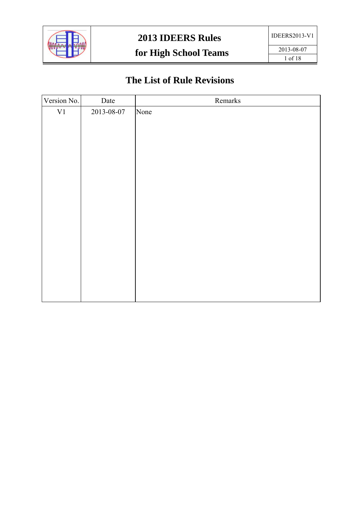

# **The List of Rule Revisions**

| Version No. | Date       | Remarks |
|-------------|------------|---------|
| $\mbox{V1}$ | 2013-08-07 | None    |
|             |            |         |
|             |            |         |
|             |            |         |
|             |            |         |
|             |            |         |
|             |            |         |
|             |            |         |
|             |            |         |
|             |            |         |
|             |            |         |
|             |            |         |
|             |            |         |
|             |            |         |
|             |            |         |
|             |            |         |
|             |            |         |
|             |            |         |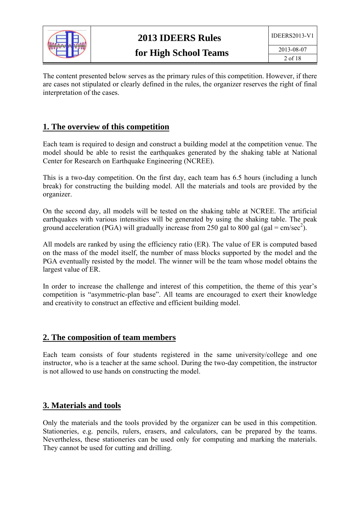

The content presented below serves as the primary rules of this competition. However, if there are cases not stipulated or clearly defined in the rules, the organizer reserves the right of final interpretation of the cases.

### **1. The overview of this competition**

Each team is required to design and construct a building model at the competition venue. The model should be able to resist the earthquakes generated by the shaking table at National Center for Research on Earthquake Engineering (NCREE).

This is a two-day competition. On the first day, each team has 6.5 hours (including a lunch break) for constructing the building model. All the materials and tools are provided by the organizer.

On the second day, all models will be tested on the shaking table at NCREE. The artificial earthquakes with various intensities will be generated by using the shaking table. The peak ground acceleration (PGA) will gradually increase from 250 gal to 800 gal (gal = cm/sec<sup>2</sup>).

All models are ranked by using the efficiency ratio (ER). The value of ER is computed based on the mass of the model itself, the number of mass blocks supported by the model and the PGA eventually resisted by the model. The winner will be the team whose model obtains the largest value of ER.

In order to increase the challenge and interest of this competition, the theme of this year's competition is "asymmetric-plan base". All teams are encouraged to exert their knowledge and creativity to construct an effective and efficient building model.

#### **2. The composition of team members**

Each team consists of four students registered in the same university/college and one instructor, who is a teacher at the same school. During the two-day competition, the instructor is not allowed to use hands on constructing the model.

#### **3. Materials and tools**

Only the materials and the tools provided by the organizer can be used in this competition. Stationeries, e.g. pencils, rulers, erasers, and calculators, can be prepared by the teams. Nevertheless, these stationeries can be used only for computing and marking the materials. They cannot be used for cutting and drilling.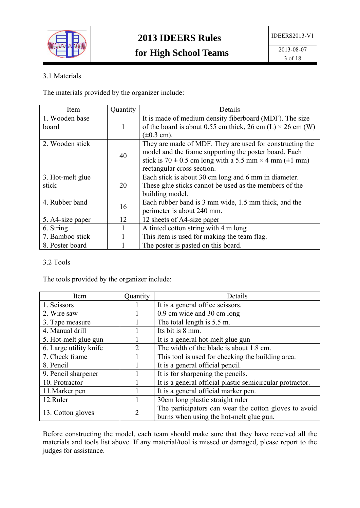

#### 3.1 Materials

The materials provided by the organizer include:

| Item             | Quantity | Details                                                                 |
|------------------|----------|-------------------------------------------------------------------------|
| 1. Wooden base   |          | It is made of medium density fiberboard (MDF). The size                 |
| board            | 1        | of the board is about 0.55 cm thick, 26 cm (L) $\times$ 26 cm (W)       |
|                  |          | $(\pm 0.3 \text{ cm})$ .                                                |
| 2. Wooden stick  |          | They are made of MDF. They are used for constructing the                |
|                  | 40       | model and the frame supporting the poster board. Each                   |
|                  |          | stick is $70 \pm 0.5$ cm long with a 5.5 mm $\times$ 4 mm ( $\pm$ 1 mm) |
|                  |          | rectangular cross section.                                              |
| 3. Hot-melt glue |          | Each stick is about 30 cm long and 6 mm in diameter.                    |
| stick            | 20       | These glue sticks cannot be used as the members of the                  |
|                  |          | building model.                                                         |
| 4. Rubber band   | 16       | Each rubber band is 3 mm wide, 1.5 mm thick, and the                    |
|                  |          | perimeter is about 240 mm.                                              |
| 5. A4-size paper | 12       | 12 sheets of A4-size paper                                              |
| 6. String        |          | A tinted cotton string with 4 m long                                    |
| 7. Bamboo stick  |          | This item is used for making the team flag.                             |
| 8. Poster board  |          | The poster is pasted on this board.                                     |

#### 3.2 Tools

The tools provided by the organizer include:

| Item                   | Quantity                    | Details                                                   |
|------------------------|-----------------------------|-----------------------------------------------------------|
| 1. Scissors            |                             | It is a general office scissors.                          |
| 2. Wire saw            |                             | 0.9 cm wide and 30 cm long                                |
| 3. Tape measure        |                             | The total length is 5.5 m.                                |
| 4. Manual drill        |                             | Its bit is 8 mm.                                          |
| 5. Hot-melt glue gun   |                             | It is a general hot-melt glue gun                         |
| 6. Large utility knife | $\mathcal{D}_{\mathcal{L}}$ | The width of the blade is about 1.8 cm.                   |
| 7. Check frame         |                             | This tool is used for checking the building area.         |
| 8. Pencil              |                             | It is a general official pencil.                          |
| 9. Pencil sharpener    |                             | It is for sharpening the pencils.                         |
| 10. Protractor         |                             | It is a general official plastic semicircular protractor. |
| 11. Marker pen         |                             | It is a general official marker pen.                      |
| 12.Ruler               |                             | 30cm long plastic straight ruler                          |
| 13. Cotton gloves      | $\overline{2}$              | The participators can wear the cotton gloves to avoid     |
|                        |                             | burns when using the hot-melt glue gun.                   |

Before constructing the model, each team should make sure that they have received all the materials and tools list above. If any material/tool is missed or damaged, please report to the judges for assistance.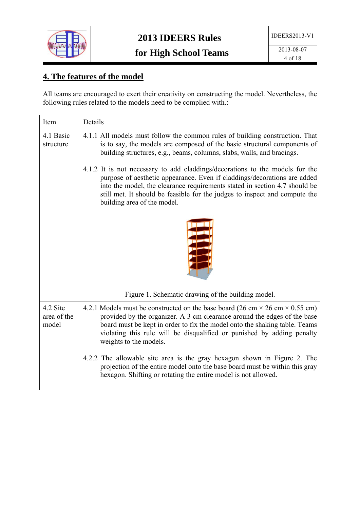

## **4. The features of the model**

All teams are encouraged to exert their creativity on constructing the model. Nevertheless, the following rules related to the models need to be complied with.:

| Item                             | Details                                                                                                                                                                                                                                                                                                                                                  |
|----------------------------------|----------------------------------------------------------------------------------------------------------------------------------------------------------------------------------------------------------------------------------------------------------------------------------------------------------------------------------------------------------|
| 4.1 Basic<br>structure           | 4.1.1 All models must follow the common rules of building construction. That<br>is to say, the models are composed of the basic structural components of<br>building structures, e.g., beams, columns, slabs, walls, and bracings.                                                                                                                       |
|                                  | 4.1.2 It is not necessary to add claddings/decorations to the models for the<br>purpose of aesthetic appearance. Even if claddings/decorations are added<br>into the model, the clearance requirements stated in section 4.7 should be<br>still met. It should be feasible for the judges to inspect and compute the<br>building area of the model.      |
|                                  |                                                                                                                                                                                                                                                                                                                                                          |
|                                  | Figure 1. Schematic drawing of the building model.                                                                                                                                                                                                                                                                                                       |
| 4.2 Site<br>area of the<br>model | 4.2.1 Models must be constructed on the base board (26 cm $\times$ 26 cm $\times$ 0.55 cm)<br>provided by the organizer. A 3 cm clearance around the edges of the base<br>board must be kept in order to fix the model onto the shaking table. Teams<br>violating this rule will be disqualified or punished by adding penalty<br>weights to the models. |
|                                  | 4.2.2 The allowable site area is the gray hexagon shown in Figure 2. The<br>projection of the entire model onto the base board must be within this gray<br>hexagon. Shifting or rotating the entire model is not allowed.                                                                                                                                |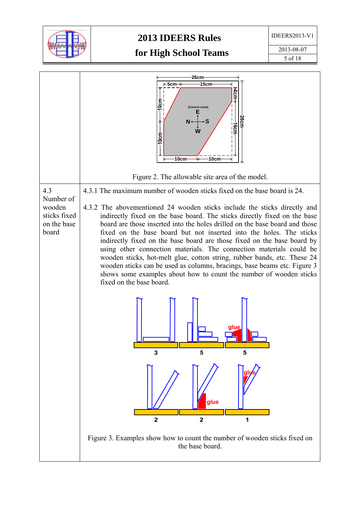

## **2013 IDEERS Rules**

IDEERS2013-V1

# **for High School Teams**



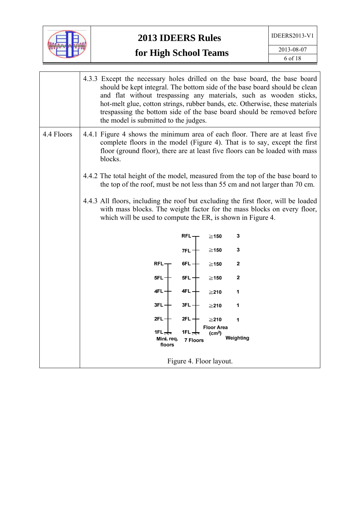

|            | 4.3.3 Except the necessary holes drilled on the base board, the base board<br>should be kept integral. The bottom side of the base board should be clean<br>and flat without trespassing any materials, such as wooden sticks,<br>hot-melt glue, cotton strings, rubber bands, etc. Otherwise, these materials<br>trespassing the bottom side of the base board should be removed before<br>the model is submitted to the judges. |
|------------|-----------------------------------------------------------------------------------------------------------------------------------------------------------------------------------------------------------------------------------------------------------------------------------------------------------------------------------------------------------------------------------------------------------------------------------|
| 4.4 Floors | 4.4.1 Figure 4 shows the minimum area of each floor. There are at least five<br>complete floors in the model (Figure 4). That is to say, except the first<br>floor (ground floor), there are at least five floors can be loaded with mass<br>blocks.                                                                                                                                                                              |
|            | 4.4.2 The total height of the model, measured from the top of the base board to<br>the top of the roof, must be not less than 55 cm and not larger than 70 cm.                                                                                                                                                                                                                                                                    |
|            | 4.4.3 All floors, including the roof but excluding the first floor, will be loaded<br>with mass blocks. The weight factor for the mass blocks on every floor,<br>which will be used to compute the ER, is shown in Figure 4.                                                                                                                                                                                                      |
|            | 3<br>RFL –<br>$\geq$ 150                                                                                                                                                                                                                                                                                                                                                                                                          |
|            | ${\bf 3}$<br>$\geq$ 150<br>$7FL +$                                                                                                                                                                                                                                                                                                                                                                                                |
|            | $\mathbf{2}$<br>RFL-<br>6FL $+$<br>$\geq$ 150                                                                                                                                                                                                                                                                                                                                                                                     |
|            | $5FL +$<br>$\mathbf{2}$<br>5FL-<br>$\geq$ 150                                                                                                                                                                                                                                                                                                                                                                                     |
|            | 4FL-<br>4FL —<br>1<br>$\geq$ 210                                                                                                                                                                                                                                                                                                                                                                                                  |
|            | $3FL -$<br>3FL –<br>1<br>$\geq$ 210                                                                                                                                                                                                                                                                                                                                                                                               |
|            | 2FL -<br>2FL $+$<br>1<br>≧210                                                                                                                                                                                                                                                                                                                                                                                                     |
|            | <b>Floor Area</b><br>1FL $\pm$<br>1FL $\leftrightarrow$<br>(cm <sup>2</sup> )<br>Weighting<br>Mini req.<br><b>7 Floors</b><br>floors                                                                                                                                                                                                                                                                                              |
|            | Figure 4. Floor layout.                                                                                                                                                                                                                                                                                                                                                                                                           |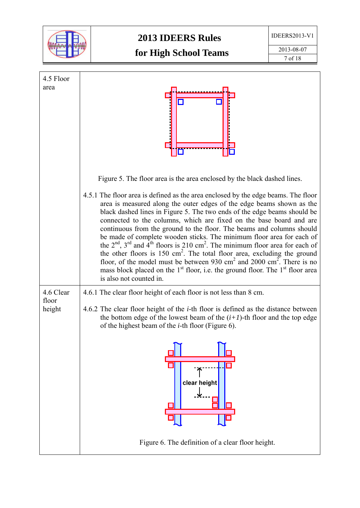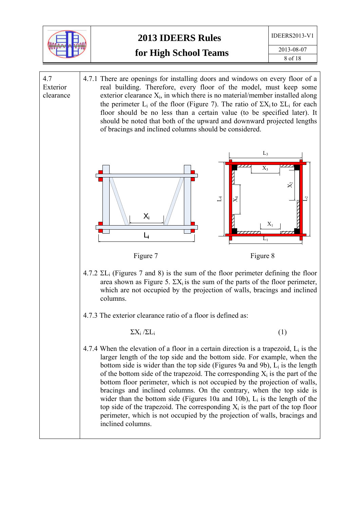

2013-08-07 8 of 18

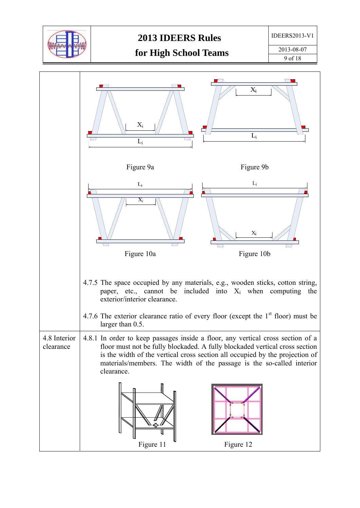

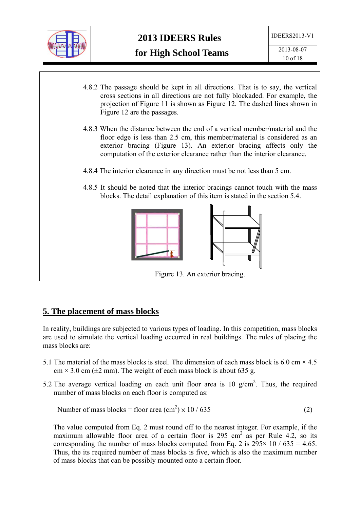



### **5. The placement of mass blocks**

In reality, buildings are subjected to various types of loading. In this competition, mass blocks are used to simulate the vertical loading occurred in real buildings. The rules of placing the mass blocks are:

- 5.1 The material of the mass blocks is steel. The dimension of each mass block is 6.0 cm  $\times$  4.5  $cm \times 3.0$  cm ( $\pm 2$  mm). The weight of each mass block is about 635 g.
- 5.2 The average vertical loading on each unit floor area is 10  $g/cm<sup>2</sup>$ . Thus, the required number of mass blocks on each floor is computed as:

Number of mass blocks = floor area 
$$
(cm2) \times 10 / 635
$$
 (2)

The value computed from Eq. 2 must round off to the nearest integer. For example, if the maximum allowable floor area of a certain floor is  $295 \text{ cm}^2$  as per Rule 4.2, so its corresponding the number of mass blocks computed from Eq. 2 is  $295 \times 10 / 635 = 4.65$ . Thus, the its required number of mass blocks is five, which is also the maximum number of mass blocks that can be possibly mounted onto a certain floor.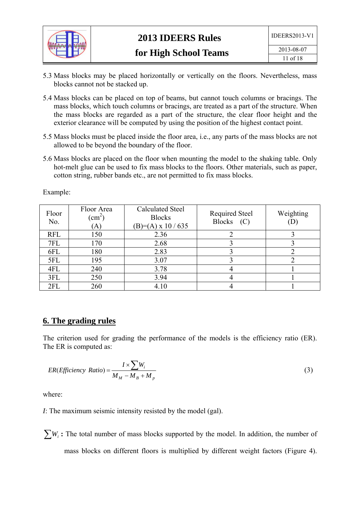

- 5.3 Mass blocks may be placed horizontally or vertically on the floors. Nevertheless, mass blocks cannot not be stacked up.
- 5.4 Mass blocks can be placed on top of beams, but cannot touch columns or bracings. The mass blocks, which touch columns or bracings, are treated as a part of the structure. When the mass blocks are regarded as a part of the structure, the clear floor height and the exterior clearance will be computed by using the position of the highest contact point.
- 5.5 Mass blocks must be placed inside the floor area, i.e., any parts of the mass blocks are not allowed to be beyond the boundary of the floor.
- 5.6 Mass blocks are placed on the floor when mounting the model to the shaking table. Only hot-melt glue can be used to fix mass blocks to the floors. Other materials, such as paper, cotton string, rubber bands etc., are not permitted to fix mass blocks.

| Floor<br>No. | Floor Area<br>$\rm \Gamma cm^2$<br>(A) | Calculated Steel<br><b>Blocks</b><br>$(B)=(A) \times 10 / 635$ | Required Steel<br><b>Blocks</b><br>(C) | Weighting |
|--------------|----------------------------------------|----------------------------------------------------------------|----------------------------------------|-----------|
| <b>RFL</b>   | 150                                    | 2.36                                                           |                                        |           |
| 7FL          | 170                                    | 2.68                                                           |                                        |           |
| 6FL          | 180                                    | 2.83                                                           |                                        |           |
| 5FL          | 195                                    | 3.07                                                           |                                        |           |
| 4FL          | 240                                    | 3.78                                                           |                                        |           |
| 3FL          | 250                                    | 3.94                                                           |                                        |           |
| 2FL          | 260                                    | 4.10                                                           |                                        |           |

Example:

#### **6. The grading rules**

The criterion used for grading the performance of the models is the efficiency ratio (ER). The ER is computed as:

$$
ER(Efficiency Ratio) = \frac{I \times \sum W_i}{M_M - M_B + M_p}
$$
\n(3)

where:

*I*: The maximum seismic intensity resisted by the model (gal).

 $\sum W_i$ : The total number of mass blocks supported by the model. In addition, the number of mass blocks on different floors is multiplied by different weight factors (Figure 4).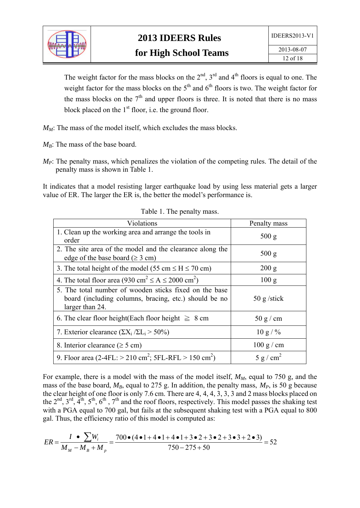

The weight factor for the mass blocks on the  $2<sup>nd</sup>$ ,  $3<sup>rd</sup>$  and  $4<sup>th</sup>$  floors is equal to one. The weight factor for the mass blocks on the  $5<sup>th</sup>$  and  $6<sup>th</sup>$  floors is two. The weight factor for the mass blocks on the  $7<sup>th</sup>$  and upper floors is three. It is noted that there is no mass block placed on the  $1<sup>st</sup>$  floor, i.e. the ground floor.

*M<sub>M</sub>*: The mass of the model itself, which excludes the mass blocks.

- $M_B$ : The mass of the base board.
- *M<sub>P</sub>*: The penalty mass, which penalizes the violation of the competing rules. The detail of the penalty mass is shown in Table 1.

It indicates that a model resisting larger earthquake load by using less material gets a larger value of ER. The larger the ER is, the better the model's performance is.

| Violations                                                                                                                         | Penalty mass          |
|------------------------------------------------------------------------------------------------------------------------------------|-----------------------|
| 1. Clean up the working area and arrange the tools in<br>order                                                                     | 500 g                 |
| 2. The site area of the model and the clearance along the<br>edge of the base board ( $\geq 3$ cm)                                 | 500 g                 |
| 3. The total height of the model (55 cm $\leq$ H $\leq$ 70 cm)                                                                     | 200 g                 |
| 4. The total floor area (930 cm <sup>2</sup> $\leq$ A $\leq$ 2000 cm <sup>2</sup> )                                                | 100 g                 |
| 5. The total number of wooden sticks fixed on the base<br>board (including columns, bracing, etc.) should be no<br>larger than 24. | $50 \text{ g}$ /stick |
| 6. The clear floor height (Each floor height $\geq 8$ cm                                                                           | 50 g/cm               |
| 7. Exterior clearance $(\Sigma X_i / \Sigma L_i > 50\%)$                                                                           | $10 g / \%$           |
| 8. Interior clearance ( $\geq$ 5 cm)                                                                                               | $100 \text{ g/cm}$    |
| 9. Floor area (2-4FL: $>$ 210 cm <sup>2</sup> ; 5FL-RFL $>$ 150 cm <sup>2</sup> )                                                  | 5 g/cm <sup>2</sup>   |

Table 1. The penalty mass.

For example, there is a model with the mass of the model itself,  $M_M$ , equal to 750 g, and the mass of the base board,  $M_B$ , equal to 275 g. In addition, the penalty mass,  $M_P$ , is 50 g because the clear height of one floor is only 7.6 cm. There are 4, 4, 4, 3, 3, 3 and 2 mass blocks placed on the 2<sup>nd</sup>, 3<sup>rd</sup>, 4<sup>th</sup>, 5<sup>th</sup>, 6<sup>th</sup>, 7<sup>th</sup> and the roof floors, respectively. This model passes the shaking test with a PGA equal to 700 gal, but fails at the subsequent shaking test with a PGA equal to 800 gal. Thus, the efficiency ratio of this model is computed as:

$$
ER = \frac{I \cdot \sum W_i}{M_M - M_B + M_p} = \frac{700 \cdot (4 \cdot 1 + 4 \cdot 1 + 4 \cdot 1 + 3 \cdot 2 + 3 \cdot 2 + 3 \cdot 3 + 2 \cdot 3)}{750 - 275 + 50} = 52
$$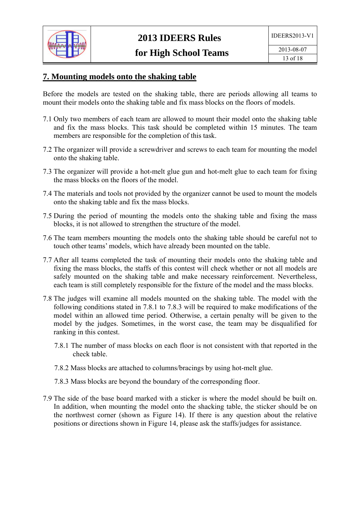

## **7. Mounting models onto the shaking table**

Before the models are tested on the shaking table, there are periods allowing all teams to mount their models onto the shaking table and fix mass blocks on the floors of models.

- 7.1 Only two members of each team are allowed to mount their model onto the shaking table and fix the mass blocks. This task should be completed within 15 minutes. The team members are responsible for the completion of this task.
- 7.2 The organizer will provide a screwdriver and screws to each team for mounting the model onto the shaking table.
- 7.3 The organizer will provide a hot-melt glue gun and hot-melt glue to each team for fixing the mass blocks on the floors of the model.
- 7.4 The materials and tools not provided by the organizer cannot be used to mount the models onto the shaking table and fix the mass blocks.
- 7.5 During the period of mounting the models onto the shaking table and fixing the mass blocks, it is not allowed to strengthen the structure of the model.
- 7.6 The team members mounting the models onto the shaking table should be careful not to touch other teams' models, which have already been mounted on the table.
- 7.7 After all teams completed the task of mounting their models onto the shaking table and fixing the mass blocks, the staffs of this contest will check whether or not all models are safely mounted on the shaking table and make necessary reinforcement. Nevertheless, each team is still completely responsible for the fixture of the model and the mass blocks.
- 7.8 The judges will examine all models mounted on the shaking table. The model with the following conditions stated in 7.8.1 to 7.8.3 will be required to make modifications of the model within an allowed time period. Otherwise, a certain penalty will be given to the model by the judges. Sometimes, in the worst case, the team may be disqualified for ranking in this contest.
	- 7.8.1 The number of mass blocks on each floor is not consistent with that reported in the check table.
	- 7.8.2 Mass blocks are attached to columns/bracings by using hot-melt glue.
	- 7.8.3 Mass blocks are beyond the boundary of the corresponding floor.
- 7.9 The side of the base board marked with a sticker is where the model should be built on. In addition, when mounting the model onto the shacking table, the sticker should be on the northwest corner (shown as Figure 14). If there is any question about the relative positions or directions shown in Figure 14, please ask the staffs/judges for assistance.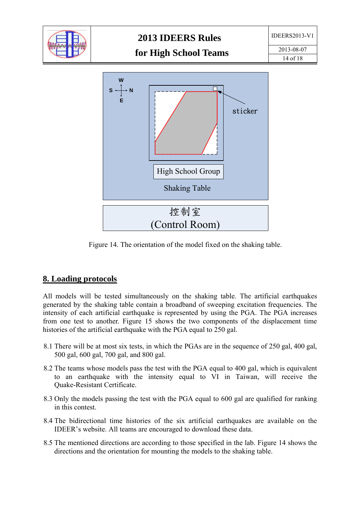

Figure 14. The orientation of the model fixed on the shaking table.

#### **8. Loading protocols**

All models will be tested simultaneously on the shaking table. The artificial earthquakes generated by the shaking table contain a broadband of sweeping excitation frequencies. The intensity of each artificial earthquake is represented by using the PGA. The PGA increases from one test to another. Figure 15 shows the two components of the displacement time histories of the artificial earthquake with the PGA equal to 250 gal.

- 8.1 There will be at most six tests, in which the PGAs are in the sequence of 250 gal, 400 gal, 500 gal, 600 gal, 700 gal, and 800 gal.
- 8.2 The teams whose models pass the test with the PGA equal to 400 gal, which is equivalent to an earthquake with the intensity equal to VI in Taiwan, will receive the Quake-Resistant Certificate.
- 8.3 Only the models passing the test with the PGA equal to 600 gal are qualified for ranking in this contest.
- 8.4 The bidirectional time histories of the six artificial earthquakes are available on the IDEER's website. All teams are encouraged to download these data.
- 8.5 The mentioned directions are according to those specified in the lab. Figure 14 shows the directions and the orientation for mounting the models to the shaking table.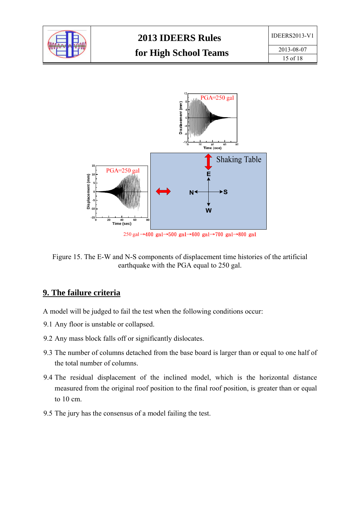



250 gal →400 gal →500 gal →600 gal →700 gal →800 gal

Figure 15. The E-W and N-S components of displacement time histories of the artificial earthquake with the PGA equal to 250 gal.

#### **9. The failure criteria**

- A model will be judged to fail the test when the following conditions occur:
- 9.1 Any floor is unstable or collapsed.
- 9.2 Any mass block falls off or significantly dislocates.
- 9.3 The number of columns detached from the base board is larger than or equal to one half of the total number of columns.
- 9.4 The residual displacement of the inclined model, which is the horizontal distance measured from the original roof position to the final roof position, is greater than or equal to 10 cm.
- 9.5 The jury has the consensus of a model failing the test.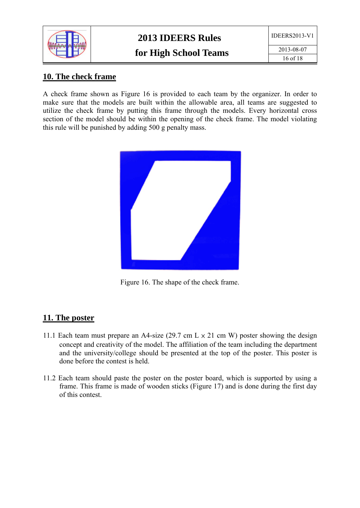

2013-08-07 16 of 18

# **10. The check frame**

A check frame shown as Figure 16 is provided to each team by the organizer. In order to make sure that the models are built within the allowable area, all teams are suggested to utilize the check frame by putting this frame through the models. Every horizontal cross section of the model should be within the opening of the check frame. The model violating this rule will be punished by adding 500 g penalty mass.



Figure 16. The shape of the check frame.

### **11. The poster**

- 11.1 Each team must prepare an A4-size (29.7 cm  $L \times 21$  cm W) poster showing the design concept and creativity of the model. The affiliation of the team including the department and the university/college should be presented at the top of the poster. This poster is done before the contest is held.
- 11.2 Each team should paste the poster on the poster board, which is supported by using a frame. This frame is made of wooden sticks (Figure 17) and is done during the first day of this contest.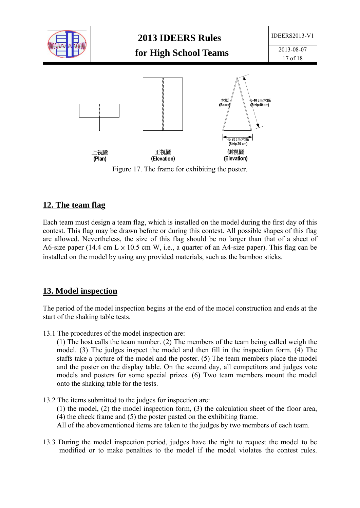

### **12. The team flag**

Each team must design a team flag, which is installed on the model during the first day of this contest. This flag may be drawn before or during this contest. All possible shapes of this flag are allowed. Nevertheless, the size of this flag should be no larger than that of a sheet of A6-size paper (14.4 cm  $L \times 10.5$  cm W, i.e., a quarter of an A4-size paper). This flag can be installed on the model by using any provided materials, such as the bamboo sticks.

#### **13. Model inspection**

The period of the model inspection begins at the end of the model construction and ends at the start of the shaking table tests.

13.1 The procedures of the model inspection are:

(1) The host calls the team number. (2) The members of the team being called weigh the model. (3) The judges inspect the model and then fill in the inspection form. (4) The staffs take a picture of the model and the poster. (5) The team members place the model and the poster on the display table. On the second day, all competitors and judges vote models and posters for some special prizes. (6) Two team members mount the model onto the shaking table for the tests.

13.2 The items submitted to the judges for inspection are:

(1) the model, (2) the model inspection form, (3) the calculation sheet of the floor area, (4) the check frame and (5) the poster pasted on the exhibiting frame.

All of the abovementioned items are taken to the judges by two members of each team.

13.3 During the model inspection period, judges have the right to request the model to be modified or to make penalties to the model if the model violates the contest rules.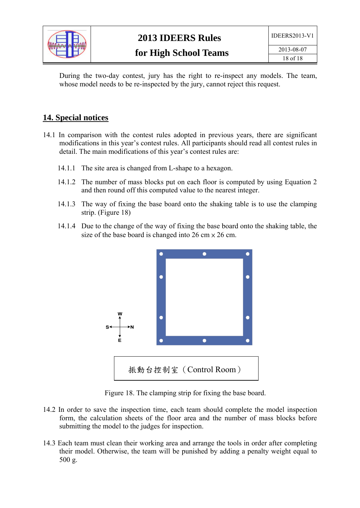

During the two-day contest, jury has the right to re-inspect any models. The team, whose model needs to be re-inspected by the jury, cannot reject this request.

## **14. Special notices**

- 14.1 In comparison with the contest rules adopted in previous years, there are significant modifications in this year's contest rules. All participants should read all contest rules in detail. The main modifications of this year's contest rules are:
	- 14.1.1 The site area is changed from L-shape to a hexagon.
	- 14.1.2 The number of mass blocks put on each floor is computed by using Equation 2 and then round off this computed value to the nearest integer.
	- 14.1.3 The way of fixing the base board onto the shaking table is to use the clamping strip. (Figure 18)
	- 14.1.4 Due to the change of the way of fixing the base board onto the shaking table, the size of the base board is changed into  $26 \text{ cm} \times 26 \text{ cm}$ .



Figure 18. The clamping strip for fixing the base board.

- 14.2 In order to save the inspection time, each team should complete the model inspection form, the calculation sheets of the floor area and the number of mass blocks before submitting the model to the judges for inspection.
- 14.3 Each team must clean their working area and arrange the tools in order after completing their model. Otherwise, the team will be punished by adding a penalty weight equal to 500 g.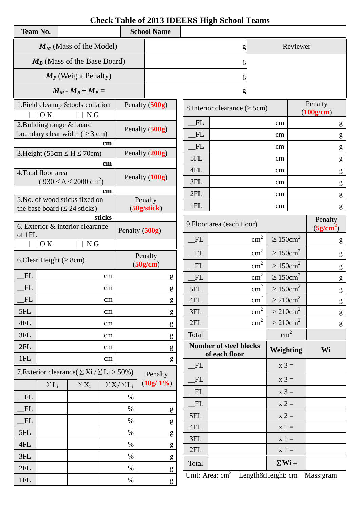# **Check Table of 2013 IDEERS High School Teams**

| <b>Team No.</b>                |                                                       |                                                          |               |                | <b>School Name</b>                                                                                                                                                                                                                                                                                                                                                                                                             |                               |                                     |                            |                            |                                  |                                                       |
|--------------------------------|-------------------------------------------------------|----------------------------------------------------------|---------------|----------------|--------------------------------------------------------------------------------------------------------------------------------------------------------------------------------------------------------------------------------------------------------------------------------------------------------------------------------------------------------------------------------------------------------------------------------|-------------------------------|-------------------------------------|----------------------------|----------------------------|----------------------------------|-------------------------------------------------------|
| $M_M$ (Mass of the Model)      |                                                       |                                                          |               |                | g                                                                                                                                                                                                                                                                                                                                                                                                                              |                               |                                     | Reviewer                   |                            |                                  |                                                       |
| $M_B$ (Mass of the Base Board) |                                                       |                                                          |               |                |                                                                                                                                                                                                                                                                                                                                                                                                                                | g                             |                                     |                            |                            |                                  |                                                       |
|                                |                                                       | $M_P$ (Weight Penalty)                                   |               |                |                                                                                                                                                                                                                                                                                                                                                                                                                                |                               | g                                   |                            |                            |                                  |                                                       |
|                                |                                                       | $M_M$ - $M_B$ + $M_P$ =                                  |               |                |                                                                                                                                                                                                                                                                                                                                                                                                                                |                               | g                                   |                            |                            |                                  |                                                       |
|                                |                                                       | 1. Field cleanup & tools collation                       |               |                | Penalty (500g)                                                                                                                                                                                                                                                                                                                                                                                                                 |                               | 8. Interior clearance ( $\geq$ 5cm) |                            |                            |                                  | Penalty                                               |
|                                | O.K.                                                  | N.G.                                                     |               |                |                                                                                                                                                                                                                                                                                                                                                                                                                                | FL                            |                                     |                            |                            |                                  | (100g/cm)                                             |
|                                | 2. Buliding range $&$ board                           | boundary clear width ( $\geq$ 3 cm)                      |               |                | Penalty (500g)                                                                                                                                                                                                                                                                                                                                                                                                                 | FL                            |                                     |                            | cm<br>cm                   |                                  | g                                                     |
|                                |                                                       |                                                          | $\mathbf{cm}$ |                |                                                                                                                                                                                                                                                                                                                                                                                                                                | FL                            |                                     |                            |                            |                                  | g                                                     |
|                                |                                                       | 3. Height (55cm $\leq H \leq 70$ cm)                     |               |                | Penalty (200g)                                                                                                                                                                                                                                                                                                                                                                                                                 | 5FL                           |                                     |                            | cm                         |                                  | ${\bf g}$                                             |
|                                |                                                       |                                                          | cm            |                |                                                                                                                                                                                                                                                                                                                                                                                                                                | 4FL                           |                                     |                            | $\rm cm$                   |                                  | g                                                     |
|                                | 4. Total floor area                                   | $(930 \le A \le 2000 \text{ cm}^2)$                      |               |                | Penalty (100g)                                                                                                                                                                                                                                                                                                                                                                                                                 | 3FL                           |                                     |                            | cm<br>cm                   |                                  | ${\sf g}$                                             |
|                                |                                                       |                                                          | cm            |                |                                                                                                                                                                                                                                                                                                                                                                                                                                | 2FL                           |                                     |                            |                            |                                  | ${\sf g}$                                             |
|                                |                                                       | 5.No. of wood sticks fixed on                            |               |                | Penalty                                                                                                                                                                                                                                                                                                                                                                                                                        | 1FL                           |                                     |                            | $\rm cm$<br>cm             |                                  | ${\sf g}$                                             |
|                                | the base board ( $\leq 24$ sticks)                    |                                                          | sticks        |                | (50g/stick)                                                                                                                                                                                                                                                                                                                                                                                                                    |                               |                                     |                            |                            |                                  | g                                                     |
|                                |                                                       | 6. Exterior & interior clearance                         |               | Penalty (500g) |                                                                                                                                                                                                                                                                                                                                                                                                                                | 9. Floor area (each floor)    |                                     |                            |                            | Penalty<br>(5g/cm <sup>2</sup> ) |                                                       |
| of 1FL<br>O.K.<br>N.G.         |                                                       |                                                          |               |                | FL                                                                                                                                                                                                                                                                                                                                                                                                                             |                               | $\text{cm}^2$                       | $\geq 150$ cm <sup>2</sup> |                            | g                                |                                                       |
|                                |                                                       |                                                          |               | Penalty        | FL                                                                                                                                                                                                                                                                                                                                                                                                                             |                               | $\text{cm}^2$                       | $\geq 150$ cm <sup>2</sup> |                            | ${\sf g}$                        |                                                       |
|                                | 6. Clear Height ( $\geq$ 8cm)                         |                                                          |               |                | (50g/cm)                                                                                                                                                                                                                                                                                                                                                                                                                       | FL                            |                                     | $\text{cm}^2$              | $\geq 150$ cm <sup>2</sup> |                                  | ${\bf g}$                                             |
| FL                             |                                                       |                                                          | cm            |                | g                                                                                                                                                                                                                                                                                                                                                                                                                              | FL                            |                                     | $\text{cm}^2$              | $\geq 150$ cm <sup>2</sup> |                                  | ${\sf g}$                                             |
| FL                             |                                                       |                                                          | cm            |                | g                                                                                                                                                                                                                                                                                                                                                                                                                              | 5FL                           |                                     | $\text{cm}^2$              | $\geq 150$ cm <sup>2</sup> |                                  | ${\sf g}$                                             |
| FL                             |                                                       |                                                          | cm            |                | ${\bf g}$                                                                                                                                                                                                                                                                                                                                                                                                                      | 4FL                           |                                     | $\text{cm}^2$              | $\geq 210$ cm <sup>2</sup> |                                  | ${\bf g}$                                             |
| 5FL                            |                                                       |                                                          | cm            |                | g                                                                                                                                                                                                                                                                                                                                                                                                                              | 3FL                           |                                     | $\text{cm}^2$              | $\geq 210$ cm <sup>2</sup> |                                  | $\mathbf{g}% _{0}\left( \mathbf{r},\mathbf{r}\right)$ |
| 4FL                            |                                                       |                                                          | cm            |                | $\mathbf{g}% _{T}=\mathbf{g}_{T}=\mathbf{g}_{T}=\mathbf{g}_{T}=\mathbf{g}_{T}=\mathbf{g}_{T}=\mathbf{g}_{T}=\mathbf{g}_{T}=\mathbf{g}_{T}=\mathbf{g}_{T}=\mathbf{g}_{T}=\mathbf{g}_{T}=\mathbf{g}_{T}=\mathbf{g}_{T}=\mathbf{g}_{T}=\mathbf{g}_{T}=\mathbf{g}_{T}=\mathbf{g}_{T}=\mathbf{g}_{T}=\mathbf{g}_{T}=\mathbf{g}_{T}=\mathbf{g}_{T}=\mathbf{g}_{T}=\mathbf{g}_{T}=\mathbf{g}_{T}=\mathbf{g}_{T}=\mathbf{g}_{T}=\math$ | 2FL                           |                                     | $\text{cm}^2$              | $\geq 210 \text{cm}^2$     |                                  | $g_{\parallel}$                                       |
| 3FL                            |                                                       |                                                          | cm            |                | $\mathbf{g}% _{T}=\mathbf{g}_{T}=\mathbf{g}_{T}=\mathbf{g}_{T}=\mathbf{g}_{T}=\mathbf{g}_{T}=\mathbf{g}_{T}=\mathbf{g}_{T}=\mathbf{g}_{T}=\mathbf{g}_{T}=\mathbf{g}_{T}=\mathbf{g}_{T}=\mathbf{g}_{T}=\mathbf{g}_{T}=\mathbf{g}_{T}=\mathbf{g}_{T}=\mathbf{g}_{T}=\mathbf{g}_{T}=\mathbf{g}_{T}=\mathbf{g}_{T}=\mathbf{g}_{T}=\mathbf{g}_{T}=\mathbf{g}_{T}=\mathbf{g}_{T}=\mathbf{g}_{T}=\mathbf{g}_{T}=\mathbf{g}_{T}=\math$ | Total                         |                                     |                            | $\text{cm}^2$              |                                  |                                                       |
| 2FL                            |                                                       |                                                          | cm            |                | ${\bf g}$                                                                                                                                                                                                                                                                                                                                                                                                                      | <b>Number of steel blocks</b> |                                     | Weighting                  |                            | Wi                               |                                                       |
| 1FL                            |                                                       |                                                          | cm            |                | ${\bf g}$                                                                                                                                                                                                                                                                                                                                                                                                                      | FL                            | of each floor                       |                            | $x 3 =$                    |                                  |                                                       |
|                                |                                                       | 7. Exterior clearance ( $\Sigma$ Xi / $\Sigma$ Li > 50%) |               |                | Penalty                                                                                                                                                                                                                                                                                                                                                                                                                        | FL                            |                                     |                            | $x 3 =$                    |                                  |                                                       |
|                                | $\Sigma L_i$<br>$\Sigma X_i$<br>$\sum X_i / \sum L_i$ |                                                          | $(10g/1\%)$   | FL             |                                                                                                                                                                                                                                                                                                                                                                                                                                |                               | $x 3 =$                             |                            |                            |                                  |                                                       |
| FL                             |                                                       |                                                          |               | $\%$           |                                                                                                                                                                                                                                                                                                                                                                                                                                | FL                            |                                     |                            | $x 2 =$                    |                                  |                                                       |
| FL                             |                                                       |                                                          |               | $\%$           | ${\sf g}$                                                                                                                                                                                                                                                                                                                                                                                                                      | 5FL                           |                                     |                            | $x 2 =$                    |                                  |                                                       |
| FL                             |                                                       |                                                          | $\%$          |                | g                                                                                                                                                                                                                                                                                                                                                                                                                              | 4FL                           |                                     | $x 1 =$                    |                            |                                  |                                                       |
| 5FL                            |                                                       |                                                          | $\%$          |                | g                                                                                                                                                                                                                                                                                                                                                                                                                              | 3FL                           |                                     | $x 1 =$                    |                            |                                  |                                                       |
| 4FL                            |                                                       |                                                          | $\%$          |                | ${\sf g}$                                                                                                                                                                                                                                                                                                                                                                                                                      | 2FL                           |                                     |                            | $x 1 =$                    |                                  |                                                       |
| 3FL                            |                                                       | $\%$                                                     |               | ${\sf g}$      | Total                                                                                                                                                                                                                                                                                                                                                                                                                          |                               |                                     | $\Sigma$ Wi =              |                            |                                  |                                                       |
| 2FL                            |                                                       |                                                          |               | $\%$           | ${\bf g}$                                                                                                                                                                                                                                                                                                                                                                                                                      |                               | Unit: Area: $cm2$                   |                            | Length&Height: cm          |                                  | Mass:gram                                             |
| $1\mathrm{FL}$                 |                                                       |                                                          |               | $\%$           | g                                                                                                                                                                                                                                                                                                                                                                                                                              |                               |                                     |                            |                            |                                  |                                                       |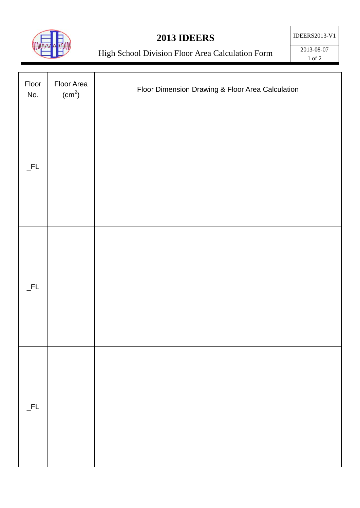

# **2013 IDEERS**

IDEERS2013-V1

# High School Division Floor Area Calculation Form

2013-08-07 1 of 2

| Floor<br>No. | Floor Area<br>(cm <sup>2</sup> ) | Floor Dimension Drawing & Floor Area Calculation |
|--------------|----------------------------------|--------------------------------------------------|
| $_FL$        |                                  |                                                  |
| $_FL$        |                                  |                                                  |
| $-FL$        |                                  |                                                  |